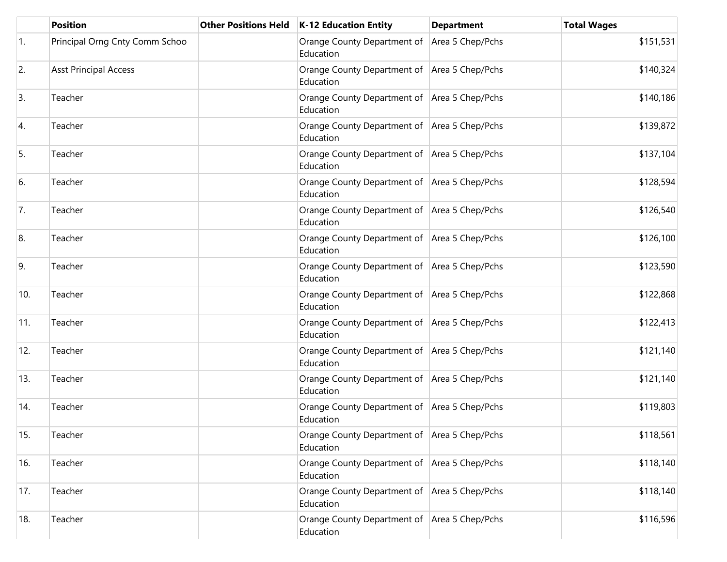|     | Position                       | <b>Other Positions Held</b> | <b>K-12 Education Entity</b>                                | <b>Department</b> | <b>Total Wages</b> |
|-----|--------------------------------|-----------------------------|-------------------------------------------------------------|-------------------|--------------------|
| 1.  | Principal Orng Cnty Comm Schoo |                             | Orange County Department of<br>Education                    | Area 5 Chep/Pchs  | \$151,531          |
| 2.  | <b>Asst Principal Access</b>   |                             | Orange County Department of Area 5 Chep/Pchs<br>Education   |                   | \$140,324          |
| 3.  | Teacher                        |                             | Orange County Department of Area 5 Chep/Pchs<br>Education   |                   | \$140,186          |
| 4.  | Teacher                        |                             | Orange County Department of Area 5 Chep/Pchs<br>Education   |                   | \$139,872          |
| 5.  | Teacher                        |                             | Orange County Department of Area 5 Chep/Pchs<br>Education   |                   | \$137,104          |
| 6.  | Teacher                        |                             | Orange County Department of Area 5 Chep/Pchs<br>Education   |                   | \$128,594          |
| 7.  | Teacher                        |                             | Orange County Department of Area 5 Chep/Pchs<br>Education   |                   | \$126,540          |
| 8.  | Teacher                        |                             | Orange County Department of Area 5 Chep/Pchs<br>Education   |                   | \$126,100          |
| 9.  | Teacher                        |                             | Orange County Department of Area 5 Chep/Pchs<br>Education   |                   | \$123,590          |
| 10. | Teacher                        |                             | Orange County Department of   Area 5 Chep/Pchs<br>Education |                   | \$122,868          |
| 11. | Teacher                        |                             | Orange County Department of Area 5 Chep/Pchs<br>Education   |                   | \$122,413          |
| 12. | Teacher                        |                             | Orange County Department of Area 5 Chep/Pchs<br>Education   |                   | \$121,140          |
| 13. | Teacher                        |                             | Orange County Department of Area 5 Chep/Pchs<br>Education   |                   | \$121,140          |
| 14. | Teacher                        |                             | Orange County Department of Area 5 Chep/Pchs<br>Education   |                   | \$119,803          |
| 15. | Teacher                        |                             | Orange County Department of Area 5 Chep/Pchs<br>Education   |                   | \$118,561          |
| 16. | Teacher                        |                             | Orange County Department of Area 5 Chep/Pchs<br>Education   |                   | \$118,140          |
| 17. | Teacher                        |                             | Orange County Department of Area 5 Chep/Pchs<br>Education   |                   | \$118,140          |
| 18. | Teacher                        |                             | Orange County Department of Area 5 Chep/Pchs<br>Education   |                   | \$116,596          |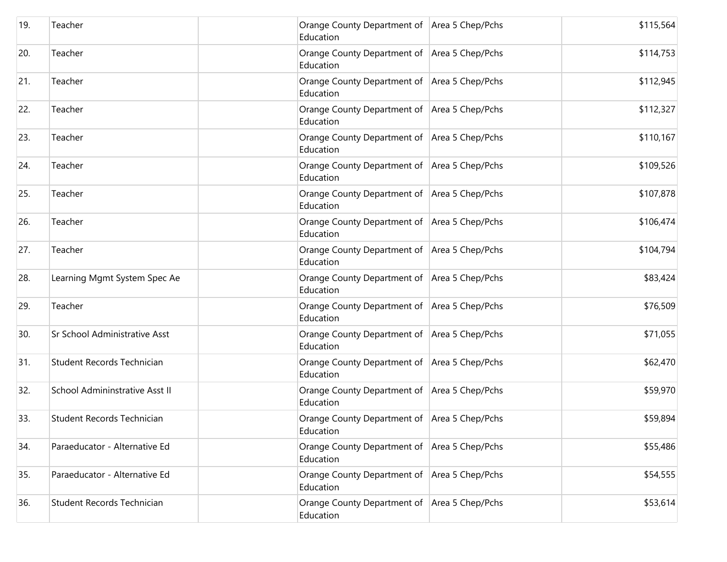| 19. | Teacher                              | Orange County Department of Area 5 Chep/Pchs<br>Education   | \$115,564 |
|-----|--------------------------------------|-------------------------------------------------------------|-----------|
| 20. | Teacher                              | Orange County Department of   Area 5 Chep/Pchs<br>Education | \$114,753 |
| 21. | Teacher                              | Orange County Department of Area 5 Chep/Pchs<br>Education   | \$112,945 |
| 22. | Teacher                              | Orange County Department of Area 5 Chep/Pchs<br>Education   | \$112,327 |
| 23. | Teacher                              | Orange County Department of Area 5 Chep/Pchs<br>Education   | \$110,167 |
| 24. | Teacher                              | Orange County Department of Area 5 Chep/Pchs<br>Education   | \$109,526 |
| 25. | Teacher                              | Orange County Department of   Area 5 Chep/Pchs<br>Education | \$107,878 |
| 26. | Teacher                              | Orange County Department of Area 5 Chep/Pchs<br>Education   | \$106,474 |
| 27. | Teacher                              | Orange County Department of   Area 5 Chep/Pchs<br>Education | \$104,794 |
| 28. | Learning Mgmt System Spec Ae         | Orange County Department of Area 5 Chep/Pchs<br>Education   | \$83,424  |
| 29. | Teacher                              | Orange County Department of Area 5 Chep/Pchs<br>Education   | \$76,509  |
| 30. | <b>Sr School Administrative Asst</b> | Orange County Department of Area 5 Chep/Pchs<br>Education   | \$71,055  |
| 31. | Student Records Technician           | Orange County Department of Area 5 Chep/Pchs<br>Education   | \$62,470  |
| 32. | School Admininstrative Asst II       | Orange County Department of Area 5 Chep/Pchs<br>Education   | \$59,970  |
| 33. | Student Records Technician           | Orange County Department of   Area 5 Chep/Pchs<br>Education | \$59,894  |
| 34. | Paraeducator - Alternative Ed        | Orange County Department of Area 5 Chep/Pchs<br>Education   | \$55,486  |
| 35. | Paraeducator - Alternative Ed        | Orange County Department of Area 5 Chep/Pchs<br>Education   | \$54,555  |
| 36. | Student Records Technician           | Orange County Department of Area 5 Chep/Pchs<br>Education   | \$53,614  |